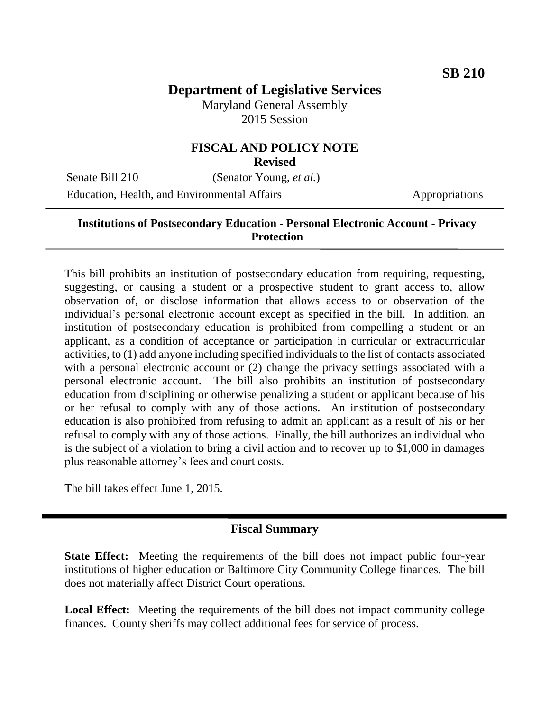## **Department of Legislative Services**

Maryland General Assembly 2015 Session

# **FISCAL AND POLICY NOTE**

**Revised**

Senate Bill 210 (Senator Young, *et al.*) Education, Health, and Environmental Affairs Appropriations

#### **Institutions of Postsecondary Education - Personal Electronic Account - Privacy Protection**

This bill prohibits an institution of postsecondary education from requiring, requesting, suggesting, or causing a student or a prospective student to grant access to, allow observation of, or disclose information that allows access to or observation of the individual's personal electronic account except as specified in the bill. In addition, an institution of postsecondary education is prohibited from compelling a student or an applicant, as a condition of acceptance or participation in curricular or extracurricular activities, to (1) add anyone including specified individuals to the list of contacts associated with a personal electronic account or  $(2)$  change the privacy settings associated with a personal electronic account. The bill also prohibits an institution of postsecondary education from disciplining or otherwise penalizing a student or applicant because of his or her refusal to comply with any of those actions. An institution of postsecondary education is also prohibited from refusing to admit an applicant as a result of his or her refusal to comply with any of those actions. Finally, the bill authorizes an individual who is the subject of a violation to bring a civil action and to recover up to \$1,000 in damages plus reasonable attorney's fees and court costs.

The bill takes effect June 1, 2015.

#### **Fiscal Summary**

**State Effect:** Meeting the requirements of the bill does not impact public four-year institutions of higher education or Baltimore City Community College finances. The bill does not materially affect District Court operations.

Local Effect: Meeting the requirements of the bill does not impact community college finances. County sheriffs may collect additional fees for service of process.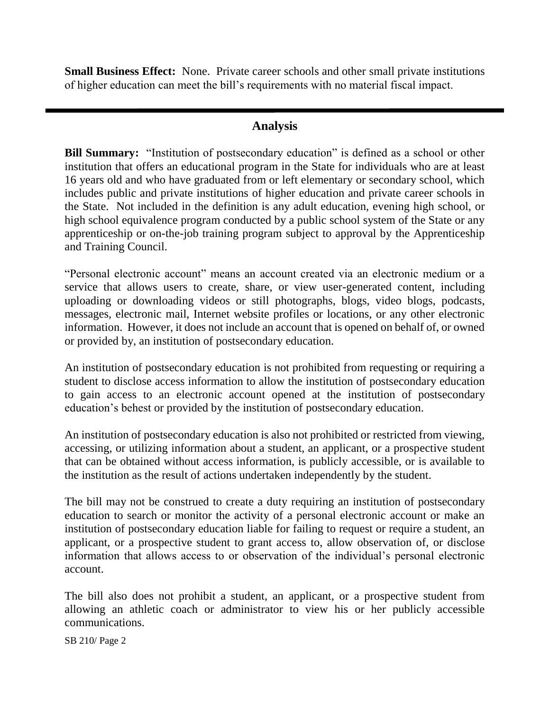**Small Business Effect:** None. Private career schools and other small private institutions of higher education can meet the bill's requirements with no material fiscal impact.

#### **Analysis**

**Bill Summary:** "Institution of postsecondary education" is defined as a school or other institution that offers an educational program in the State for individuals who are at least 16 years old and who have graduated from or left elementary or secondary school, which includes public and private institutions of higher education and private career schools in the State. Not included in the definition is any adult education, evening high school, or high school equivalence program conducted by a public school system of the State or any apprenticeship or on-the-job training program subject to approval by the Apprenticeship and Training Council.

"Personal electronic account" means an account created via an electronic medium or a service that allows users to create, share, or view user-generated content, including uploading or downloading videos or still photographs, blogs, video blogs, podcasts, messages, electronic mail, Internet website profiles or locations, or any other electronic information. However, it does not include an account that is opened on behalf of, or owned or provided by, an institution of postsecondary education.

An institution of postsecondary education is not prohibited from requesting or requiring a student to disclose access information to allow the institution of postsecondary education to gain access to an electronic account opened at the institution of postsecondary education's behest or provided by the institution of postsecondary education.

An institution of postsecondary education is also not prohibited or restricted from viewing, accessing, or utilizing information about a student, an applicant, or a prospective student that can be obtained without access information, is publicly accessible, or is available to the institution as the result of actions undertaken independently by the student.

The bill may not be construed to create a duty requiring an institution of postsecondary education to search or monitor the activity of a personal electronic account or make an institution of postsecondary education liable for failing to request or require a student, an applicant, or a prospective student to grant access to, allow observation of, or disclose information that allows access to or observation of the individual's personal electronic account.

The bill also does not prohibit a student, an applicant, or a prospective student from allowing an athletic coach or administrator to view his or her publicly accessible communications.

SB 210/ Page 2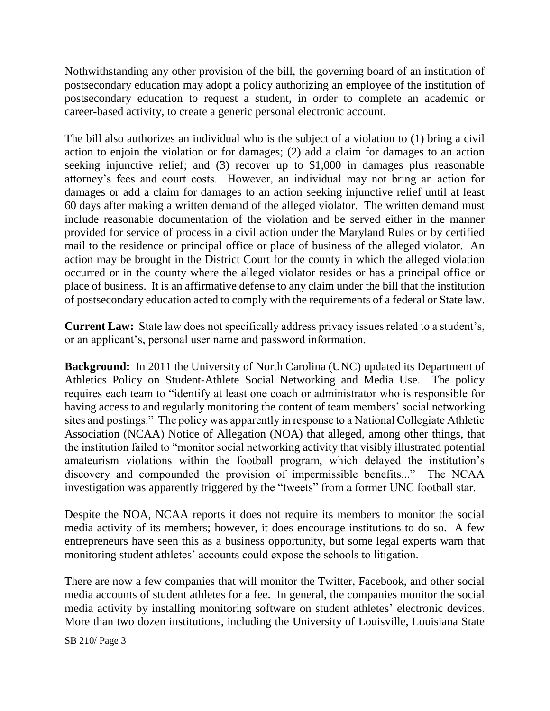Nothwithstanding any other provision of the bill, the governing board of an institution of postsecondary education may adopt a policy authorizing an employee of the institution of postsecondary education to request a student, in order to complete an academic or career-based activity, to create a generic personal electronic account.

The bill also authorizes an individual who is the subject of a violation to (1) bring a civil action to enjoin the violation or for damages; (2) add a claim for damages to an action seeking injunctive relief; and (3) recover up to \$1,000 in damages plus reasonable attorney's fees and court costs. However, an individual may not bring an action for damages or add a claim for damages to an action seeking injunctive relief until at least 60 days after making a written demand of the alleged violator. The written demand must include reasonable documentation of the violation and be served either in the manner provided for service of process in a civil action under the Maryland Rules or by certified mail to the residence or principal office or place of business of the alleged violator. An action may be brought in the District Court for the county in which the alleged violation occurred or in the county where the alleged violator resides or has a principal office or place of business. It is an affirmative defense to any claim under the bill that the institution of postsecondary education acted to comply with the requirements of a federal or State law.

**Current Law:** State law does not specifically address privacy issues related to a student's, or an applicant's, personal user name and password information.

**Background:** In 2011 the University of North Carolina (UNC) updated its Department of Athletics Policy on Student-Athlete Social Networking and Media Use. The policy requires each team to "identify at least one coach or administrator who is responsible for having access to and regularly monitoring the content of team members' social networking sites and postings." The policy was apparently in response to a National Collegiate Athletic Association (NCAA) Notice of Allegation (NOA) that alleged, among other things, that the institution failed to "monitor social networking activity that visibly illustrated potential amateurism violations within the football program, which delayed the institution's discovery and compounded the provision of impermissible benefits..." The NCAA investigation was apparently triggered by the "tweets" from a former UNC football star.

Despite the NOA, NCAA reports it does not require its members to monitor the social media activity of its members; however, it does encourage institutions to do so. A few entrepreneurs have seen this as a business opportunity, but some legal experts warn that monitoring student athletes' accounts could expose the schools to litigation.

There are now a few companies that will monitor the Twitter, Facebook, and other social media accounts of student athletes for a fee. In general, the companies monitor the social media activity by installing monitoring software on student athletes' electronic devices. More than two dozen institutions, including the University of Louisville, Louisiana State

SB 210/ Page 3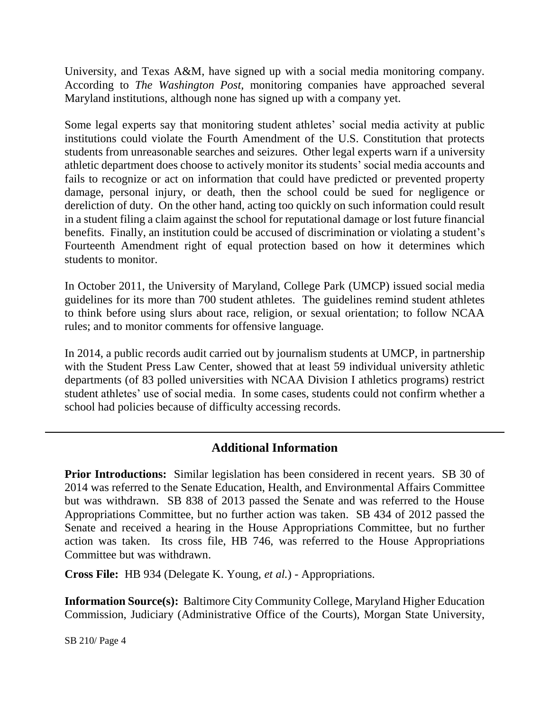University, and Texas A&M, have signed up with a social media monitoring company. According to *The Washington Post,* monitoring companies have approached several Maryland institutions, although none has signed up with a company yet.

Some legal experts say that monitoring student athletes' social media activity at public institutions could violate the Fourth Amendment of the U.S. Constitution that protects students from unreasonable searches and seizures. Other legal experts warn if a university athletic department does choose to actively monitor its students' social media accounts and fails to recognize or act on information that could have predicted or prevented property damage, personal injury, or death, then the school could be sued for negligence or dereliction of duty. On the other hand, acting too quickly on such information could result in a student filing a claim against the school for reputational damage or lost future financial benefits. Finally, an institution could be accused of discrimination or violating a student's Fourteenth Amendment right of equal protection based on how it determines which students to monitor.

In October 2011, the University of Maryland, College Park (UMCP) issued social media guidelines for its more than 700 student athletes. The guidelines remind student athletes to think before using slurs about race, religion, or sexual orientation; to follow NCAA rules; and to monitor comments for offensive language.

In 2014, a public records audit carried out by journalism students at UMCP, in partnership with the Student Press Law Center, showed that at least 59 individual university athletic departments (of 83 polled universities with NCAA Division I athletics programs) restrict student athletes' use of social media. In some cases, students could not confirm whether a school had policies because of difficulty accessing records.

### **Additional Information**

**Prior Introductions:** Similar legislation has been considered in recent years. SB 30 of 2014 was referred to the Senate Education, Health, and Environmental Affairs Committee but was withdrawn. SB 838 of 2013 passed the Senate and was referred to the House Appropriations Committee, but no further action was taken. SB 434 of 2012 passed the Senate and received a hearing in the House Appropriations Committee, but no further action was taken. Its cross file, HB 746, was referred to the House Appropriations Committee but was withdrawn.

**Cross File:** HB 934 (Delegate K. Young, *et al.*) - Appropriations.

**Information Source(s):** Baltimore City Community College, Maryland Higher Education Commission, Judiciary (Administrative Office of the Courts), Morgan State University,